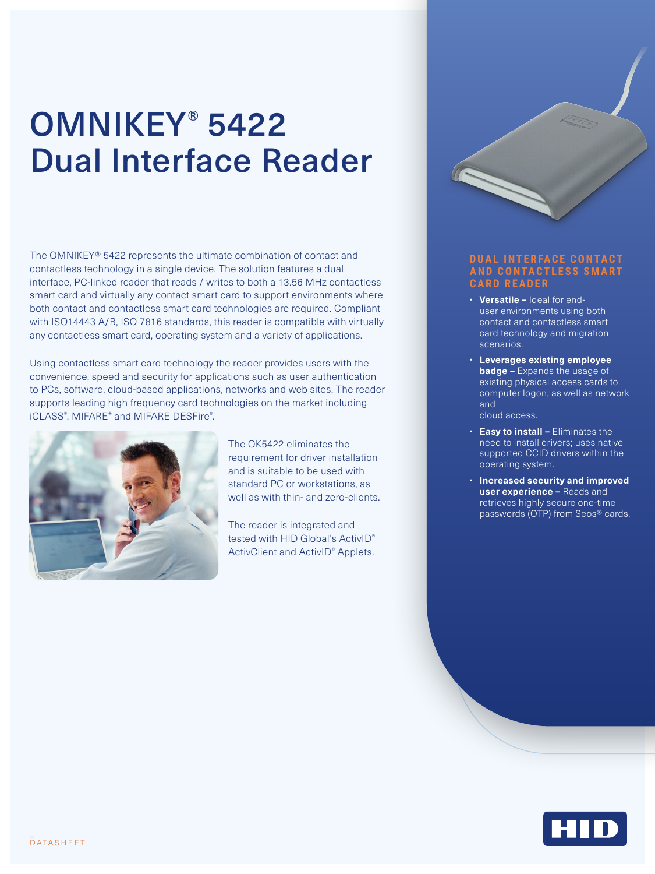## OMNIKEY® 5422 Dual Interface Reader

The OMNIKEY® 5422 represents the ultimate combination of contact and contactless technology in a single device. The solution features a dual interface, PC-linked reader that reads / writes to both a 13.56 MHz contactless smart card and virtually any contact smart card to support environments where both contact and contactless smart card technologies are required. Compliant with ISO14443 A/B, ISO 7816 standards, this reader is compatible with virtually any contactless smart card, operating system and a variety of applications.

Using contactless smart card technology the reader provides users with the convenience, speed and security for applications such as user authentication to PCs, software, cloud-based applications, networks and web sites. The reader supports leading high frequency card technologies on the market including iCLASS® , MIFARE® and MIFARE DESFire® .



The OK5422 eliminates the requirement for driver installation and is suitable to be used with standard PC or workstations, as well as with thin- and zero-clients.

The reader is integrated and tested with HID Global's ActivID<sup>®</sup> ActivClient and ActivID® Applets.



- **Versatile –** Ideal for enduser environments using both contact and contactless smart card technology and migration scenarios.
- **Leverages existing employee badge –** Expands the usage of existing physical access cards to computer logon, as well as network and cloud access.
- **Easy to install –** Eliminates the need to install drivers; uses native supported CCID drivers within the operating system.
- **Increased security and improved user experience –** Reads and retrieves highly secure one-time passwords (OTP) from Seos® cards.